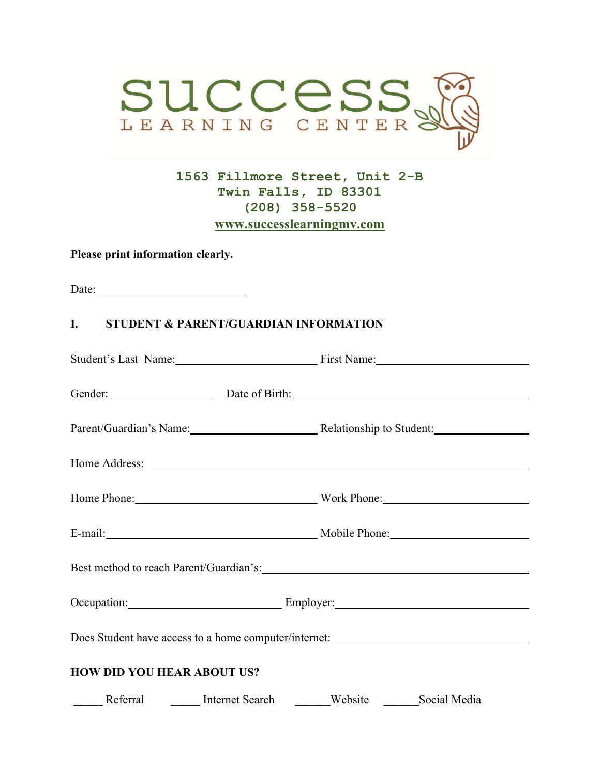

**1563 Fillmore Street, Unit 2-B Twin Falls, ID 83301 (208) 358-5520 www.successlearningmv.com** 

**Please print information clearly.** 

Date:

#### **I. STUDENT & PARENT/GUARDIAN INFORMATION**

|                                   | Student's Last Name: First Name: First Name:                                                                                                                                                                                   |  |
|-----------------------------------|--------------------------------------------------------------------------------------------------------------------------------------------------------------------------------------------------------------------------------|--|
|                                   | Gender: Date of Birth: Date of Birth:                                                                                                                                                                                          |  |
|                                   | Parent/Guardian's Name: Relationship to Student:                                                                                                                                                                               |  |
|                                   | Home Address: No. 1996. The Contract of the Address of the Address of the Address of the Address of the Address of the Address of the Address of the Address of the Address of the Address of the Address of the Address of th |  |
|                                   | Home Phone: Work Phone:                                                                                                                                                                                                        |  |
|                                   | E-mail: Mobile Phone: Mobile Phone:                                                                                                                                                                                            |  |
|                                   |                                                                                                                                                                                                                                |  |
|                                   | Occupation: Employer: Employer:                                                                                                                                                                                                |  |
|                                   | Does Student have access to a home computer/internet: ___________________________                                                                                                                                              |  |
| <b>HOW DID YOU HEAR ABOUT US?</b> |                                                                                                                                                                                                                                |  |
|                                   | Referral Internet Search Website Social Media                                                                                                                                                                                  |  |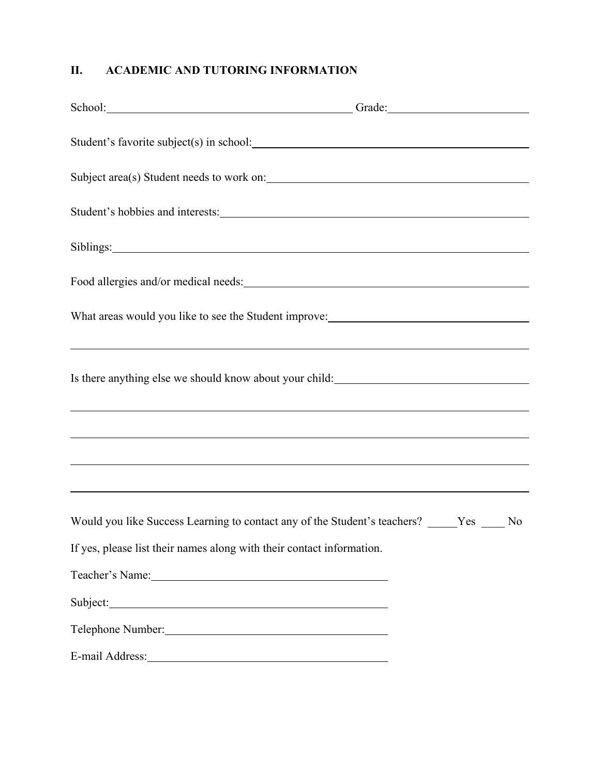# **II. ACADEMIC AND TUTORING INFORMATION**

|                                                                                                                                                                                                                                | School: Grade: Grade: Grade: Grade: Grade: Grade: Grade: Grade: Grade: Grade: Grade: Grade: Grade: G                                                                                                      |
|--------------------------------------------------------------------------------------------------------------------------------------------------------------------------------------------------------------------------------|-----------------------------------------------------------------------------------------------------------------------------------------------------------------------------------------------------------|
|                                                                                                                                                                                                                                |                                                                                                                                                                                                           |
|                                                                                                                                                                                                                                | Subject area(s) Student needs to work on:                                                                                                                                                                 |
| Student's hobbies and interests:                                                                                                                                                                                               |                                                                                                                                                                                                           |
| Siblings: 2008. Engine Siblings: 2008. The Siblings: 2008. The Siblings: 2008. The Siblings: 2008. The Siblings: 2008. The Siblings: 2008. The Siblings: 2008. The Siblings: 2008. The Siblings: 2008. The Siblings: 2008. The |                                                                                                                                                                                                           |
|                                                                                                                                                                                                                                |                                                                                                                                                                                                           |
|                                                                                                                                                                                                                                | What areas would you like to see the Student improve: ___________________________                                                                                                                         |
|                                                                                                                                                                                                                                | <u> 2000 - Jan Barat de Barat de la Barat de la Barat de la Barat de la Barat de la Barat de la Barat de la Bara</u>                                                                                      |
|                                                                                                                                                                                                                                | Is there anything else we should know about your child: ________________________                                                                                                                          |
|                                                                                                                                                                                                                                |                                                                                                                                                                                                           |
|                                                                                                                                                                                                                                | ,我们也不会有什么。""我们的人,我们也不会有什么?""我们的人,我们也不会有什么?""我们的人,我们也不会有什么?""我们的人,我们也不会有什么?""我们的人<br><u> 1999 - Johann Harry Harry Harry Harry Harry Harry Harry Harry Harry Harry Harry Harry Harry Harry Harry Harry</u> |
|                                                                                                                                                                                                                                | ,我们也不会有什么。""我们的人,我们也不会有什么?""我们的人,我们也不会有什么?""我们的人,我们也不会有什么?""我们的人,我们也不会有什么?""我们的人                                                                                                                          |
|                                                                                                                                                                                                                                | Would you like Success Learning to contact any of the Student's teachers? _____Yes ____No                                                                                                                 |
| If yes, please list their names along with their contact information.                                                                                                                                                          |                                                                                                                                                                                                           |
|                                                                                                                                                                                                                                |                                                                                                                                                                                                           |
| Subject:                                                                                                                                                                                                                       |                                                                                                                                                                                                           |
| Telephone Number:                                                                                                                                                                                                              |                                                                                                                                                                                                           |
| E-mail Address: No. 1998. The Manual Address:                                                                                                                                                                                  |                                                                                                                                                                                                           |